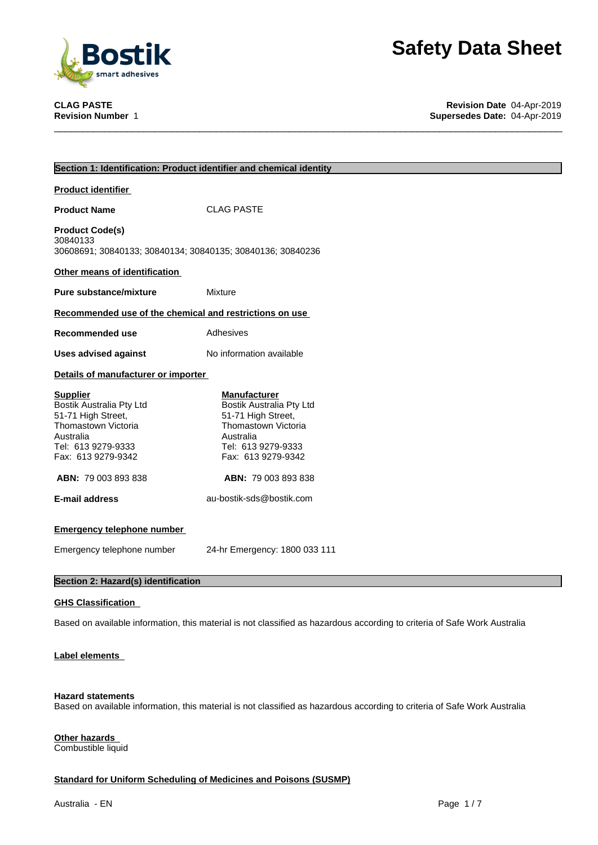

**CLAG PASTE Revision Date** 04-Apr-2019 **Supersedes Date: 04-Apr-2019** 

| Section 1: Identification: Product identifier and chemical identity                                                                               |                                                                                                                                                       |  |  |  |
|---------------------------------------------------------------------------------------------------------------------------------------------------|-------------------------------------------------------------------------------------------------------------------------------------------------------|--|--|--|
| <b>Product identifier</b>                                                                                                                         |                                                                                                                                                       |  |  |  |
| <b>Product Name</b>                                                                                                                               | <b>CLAG PASTE</b>                                                                                                                                     |  |  |  |
| <b>Product Code(s)</b><br>30840133<br>30608691; 30840133; 30840134; 30840135; 30840136; 30840236                                                  |                                                                                                                                                       |  |  |  |
| Other means of identification                                                                                                                     |                                                                                                                                                       |  |  |  |
| <b>Pure substance/mixture</b>                                                                                                                     | <b>Mixture</b>                                                                                                                                        |  |  |  |
| Recommended use of the chemical and restrictions on use                                                                                           |                                                                                                                                                       |  |  |  |
| Recommended use                                                                                                                                   | Adhesives                                                                                                                                             |  |  |  |
| <b>Uses advised against</b>                                                                                                                       | No information available                                                                                                                              |  |  |  |
| Details of manufacturer or importer                                                                                                               |                                                                                                                                                       |  |  |  |
| <b>Supplier</b><br>Bostik Australia Pty Ltd<br>51-71 High Street,<br>Thomastown Victoria<br>Australia<br>Tel: 613 9279-9333<br>Fax: 613 9279-9342 | <b>Manufacturer</b><br>Bostik Australia Pty Ltd<br>51-71 High Street,<br>Thomastown Victoria<br>Australia<br>Tel: 613 9279-9333<br>Fax: 613 9279-9342 |  |  |  |
| ABN: 79 003 893 838                                                                                                                               | ABN: 79 003 893 838                                                                                                                                   |  |  |  |
| <b>E-mail address</b>                                                                                                                             | au-bostik-sds@bostik.com                                                                                                                              |  |  |  |
| <b>Emergency telephone number</b>                                                                                                                 |                                                                                                                                                       |  |  |  |
| Emergency telephone number                                                                                                                        | 24-hr Emergency: 1800 033 111                                                                                                                         |  |  |  |
| Section 2: Hazard(s) identification                                                                                                               |                                                                                                                                                       |  |  |  |

#### **GHS Classification**

Based on available information, this material is not classified as hazardous according to criteria of Safe Work Australia

#### **Label elements**

#### **Hazard statements**

Based on available information, this material is not classified as hazardous according to criteria of Safe Work Australia

#### **Other hazards** Combustible liquid

#### **Standard for Uniform Scheduling of Medicines and Poisons (SUSMP)**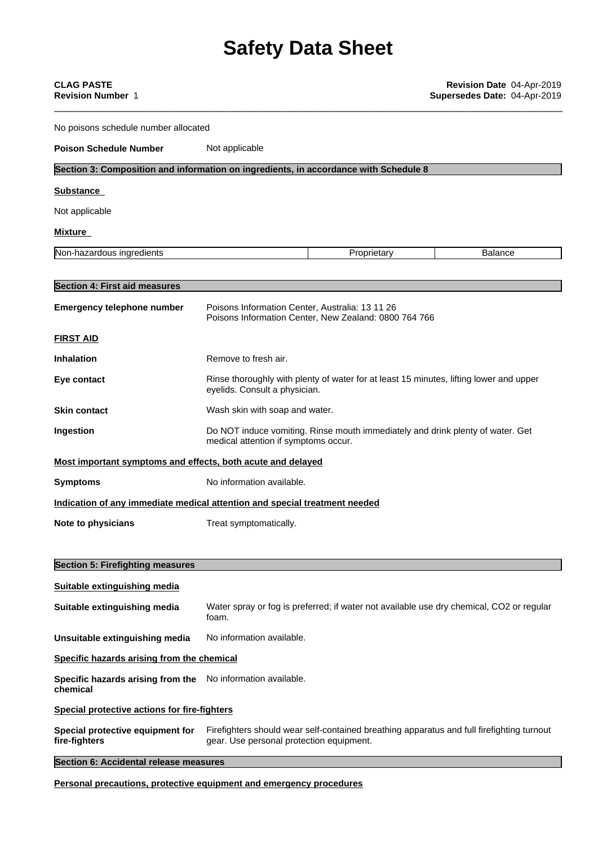| <b>CLAG PASTE</b><br><b>Revision Number 1</b>                                        |                                                                                                                                       |             | Revision Date 04-Apr-2019<br>Supersedes Date: 04-Apr-2019 |  |
|--------------------------------------------------------------------------------------|---------------------------------------------------------------------------------------------------------------------------------------|-------------|-----------------------------------------------------------|--|
| No poisons schedule number allocated                                                 |                                                                                                                                       |             |                                                           |  |
| <b>Poison Schedule Number</b>                                                        | Not applicable                                                                                                                        |             |                                                           |  |
| Section 3: Composition and information on ingredients, in accordance with Schedule 8 |                                                                                                                                       |             |                                                           |  |
| <b>Substance</b>                                                                     |                                                                                                                                       |             |                                                           |  |
| Not applicable                                                                       |                                                                                                                                       |             |                                                           |  |
| <b>Mixture</b>                                                                       |                                                                                                                                       |             |                                                           |  |
| Non-hazardous ingredients                                                            |                                                                                                                                       | Proprietary | <b>Balance</b>                                            |  |
| <b>Section 4: First aid measures</b>                                                 |                                                                                                                                       |             |                                                           |  |
| <b>Emergency telephone number</b>                                                    | Poisons Information Center, Australia: 13 11 26<br>Poisons Information Center, New Zealand: 0800 764 766                              |             |                                                           |  |
| <b>FIRST AID</b>                                                                     |                                                                                                                                       |             |                                                           |  |
| <b>Inhalation</b>                                                                    | Remove to fresh air.                                                                                                                  |             |                                                           |  |
| Eye contact                                                                          | Rinse thoroughly with plenty of water for at least 15 minutes, lifting lower and upper<br>eyelids. Consult a physician.               |             |                                                           |  |
| <b>Skin contact</b>                                                                  | Wash skin with soap and water.                                                                                                        |             |                                                           |  |
| Ingestion                                                                            | Do NOT induce vomiting. Rinse mouth immediately and drink plenty of water. Get<br>medical attention if symptoms occur.                |             |                                                           |  |
| Most important symptoms and effects, both acute and delayed                          |                                                                                                                                       |             |                                                           |  |
| <b>Symptoms</b>                                                                      | No information available.                                                                                                             |             |                                                           |  |
| Indication of any immediate medical attention and special treatment needed           |                                                                                                                                       |             |                                                           |  |
| Note to physicians                                                                   | Treat symptomatically.                                                                                                                |             |                                                           |  |
| <b>Section 5: Firefighting measures</b>                                              |                                                                                                                                       |             |                                                           |  |
| <b>Suitable extinguishing media</b>                                                  |                                                                                                                                       |             |                                                           |  |
| Suitable extinguishing media                                                         | Water spray or fog is preferred; if water not available use dry chemical, CO2 or regular<br>foam.                                     |             |                                                           |  |
| Unsuitable extinguishing media                                                       | No information available.                                                                                                             |             |                                                           |  |
| Specific hazards arising from the chemical                                           |                                                                                                                                       |             |                                                           |  |
| Specific hazards arising from the<br>chemical                                        | No information available.                                                                                                             |             |                                                           |  |
| <b>Special protective actions for fire-fighters</b>                                  |                                                                                                                                       |             |                                                           |  |
| Special protective equipment for<br>fire-fighters                                    | Firefighters should wear self-contained breathing apparatus and full firefighting turnout<br>gear. Use personal protection equipment. |             |                                                           |  |
| Section 6: Accidental release measures                                               |                                                                                                                                       |             |                                                           |  |
|                                                                                      | protective equipment and emergency                                                                                                    |             |                                                           |  |

**Personal precautions, protective equipment and emergency procedures**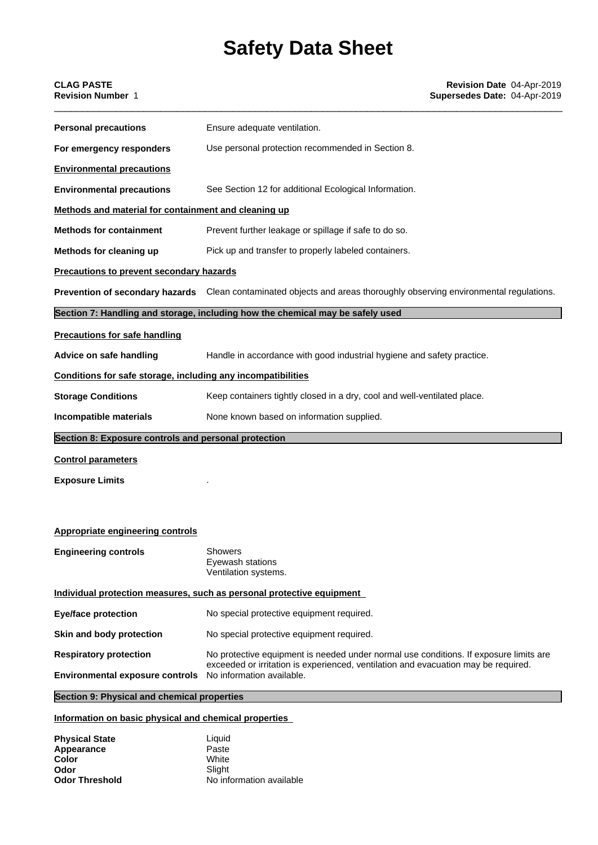| <b>CLAG PASTE</b><br><b>Revision Number 1</b>                | Revision Date 04-Apr-2019<br>Supersedes Date: 04-Apr-2019                                                            |
|--------------------------------------------------------------|----------------------------------------------------------------------------------------------------------------------|
| <b>Personal precautions</b>                                  | Ensure adequate ventilation.                                                                                         |
| For emergency responders                                     | Use personal protection recommended in Section 8.                                                                    |
| <b>Environmental precautions</b>                             |                                                                                                                      |
| <b>Environmental precautions</b>                             | See Section 12 for additional Ecological Information.                                                                |
| Methods and material for containment and cleaning up         |                                                                                                                      |
| <b>Methods for containment</b>                               | Prevent further leakage or spillage if safe to do so.                                                                |
| Methods for cleaning up                                      | Pick up and transfer to properly labeled containers.                                                                 |
| <b>Precautions to prevent secondary hazards</b>              |                                                                                                                      |
|                                                              | Prevention of secondary hazards Clean contaminated objects and areas thoroughly observing environmental regulations. |
|                                                              | Section 7: Handling and storage, including how the chemical may be safely used                                       |
| <b>Precautions for safe handling</b>                         |                                                                                                                      |
| Advice on safe handling                                      | Handle in accordance with good industrial hygiene and safety practice.                                               |
| Conditions for safe storage, including any incompatibilities |                                                                                                                      |
| <b>Storage Conditions</b>                                    | Keep containers tightly closed in a dry, cool and well-ventilated place.                                             |
| Incompatible materials                                       | None known based on information supplied.                                                                            |
| Section 8: Exposure controls and personal protection         |                                                                                                                      |
| <b>Control parameters</b>                                    |                                                                                                                      |
| <b>Exposure Limits</b>                                       |                                                                                                                      |
|                                                              |                                                                                                                      |
| <b>Appropriate engineering controls</b>                      |                                                                                                                      |
| <b>Engineering controls</b>                                  | <b>Showers</b><br>Eyewash stations<br>Ventilation systems.                                                           |
|                                                              | Individual protection measures, such as personal protective equipment                                                |
|                                                              |                                                                                                                      |

| <b>Eye/face protection</b>             | No special protective equipment required.                                                                                                                                                                |  |
|----------------------------------------|----------------------------------------------------------------------------------------------------------------------------------------------------------------------------------------------------------|--|
| Skin and body protection               | No special protective equipment required.                                                                                                                                                                |  |
| <b>Respiratory protection</b>          | No protective equipment is needed under normal use conditions. If exposure limits are<br>exceeded or irritation is experienced, ventilation and evacuation may be required.<br>No information available. |  |
| <b>Environmental exposure controls</b> |                                                                                                                                                                                                          |  |

#### **Section 9: Physical and chemical properties**

#### **Information on basic physical and chemical properties**

| <b>Physical State</b> | Liauid                   |
|-----------------------|--------------------------|
| Appearance            | Paste                    |
| Color                 | White                    |
| Odor                  | Slight                   |
| <b>Odor Threshold</b> | No information available |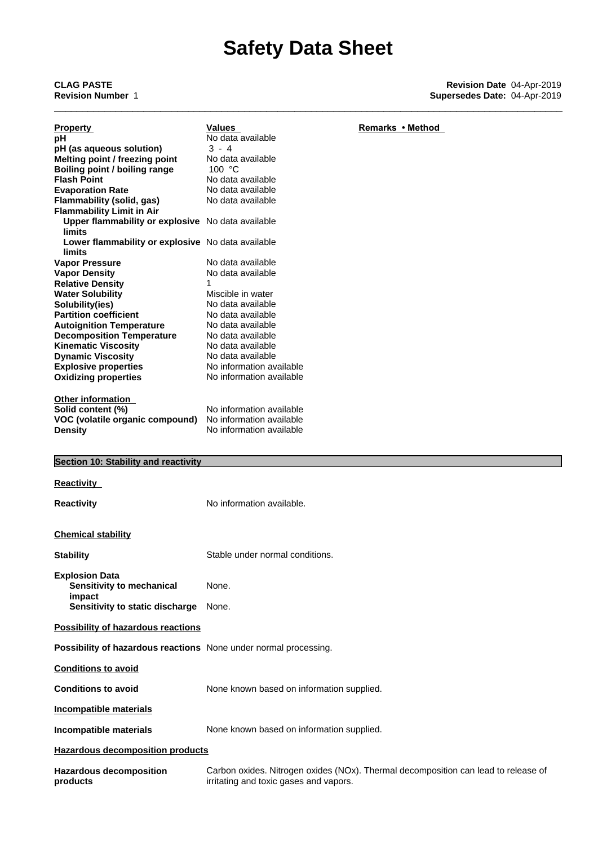| <b>Property</b>                                                  | Values<br>No data available               | Remarks • Method                                                                   |
|------------------------------------------------------------------|-------------------------------------------|------------------------------------------------------------------------------------|
| рH<br>pH (as aqueous solution)                                   | $3 - 4$                                   |                                                                                    |
|                                                                  | No data available                         |                                                                                    |
| Melting point / freezing point                                   | 100 $\degree$ C                           |                                                                                    |
| Boiling point / boiling range                                    |                                           |                                                                                    |
| <b>Flash Point</b>                                               | No data available                         |                                                                                    |
| <b>Evaporation Rate</b>                                          | No data available                         |                                                                                    |
| Flammability (solid, gas)                                        | No data available                         |                                                                                    |
| <b>Flammability Limit in Air</b>                                 |                                           |                                                                                    |
| Upper flammability or explosive No data available                |                                           |                                                                                    |
| limits                                                           |                                           |                                                                                    |
| Lower flammability or explosive No data available                |                                           |                                                                                    |
| limits                                                           |                                           |                                                                                    |
| <b>Vapor Pressure</b>                                            | No data available                         |                                                                                    |
| <b>Vapor Density</b>                                             | No data available                         |                                                                                    |
| <b>Relative Density</b>                                          | 1                                         |                                                                                    |
| <b>Water Solubility</b>                                          | Miscible in water                         |                                                                                    |
| Solubility(ies)                                                  | No data available                         |                                                                                    |
| <b>Partition coefficient</b>                                     | No data available                         |                                                                                    |
|                                                                  | No data available                         |                                                                                    |
| <b>Autoignition Temperature</b>                                  |                                           |                                                                                    |
| <b>Decomposition Temperature</b>                                 | No data available                         |                                                                                    |
| <b>Kinematic Viscosity</b>                                       | No data available                         |                                                                                    |
| <b>Dynamic Viscosity</b>                                         | No data available                         |                                                                                    |
| <b>Explosive properties</b>                                      | No information available                  |                                                                                    |
| <b>Oxidizing properties</b>                                      | No information available                  |                                                                                    |
|                                                                  |                                           |                                                                                    |
| <b>Other information</b>                                         |                                           |                                                                                    |
| Solid content (%)                                                | No information available                  |                                                                                    |
| VOC (volatile organic compound)                                  | No information available                  |                                                                                    |
| <b>Density</b>                                                   | No information available                  |                                                                                    |
|                                                                  |                                           |                                                                                    |
| Section 10: Stability and reactivity                             |                                           |                                                                                    |
|                                                                  |                                           |                                                                                    |
| <b>Reactivity</b>                                                |                                           |                                                                                    |
| <b>Reactivity</b>                                                | No information available.                 |                                                                                    |
|                                                                  |                                           |                                                                                    |
| <b>Chemical stability</b>                                        |                                           |                                                                                    |
|                                                                  |                                           |                                                                                    |
| <b>Stability</b>                                                 | Stable under normal conditions.           |                                                                                    |
|                                                                  |                                           |                                                                                    |
| <b>Explosion Data</b>                                            |                                           |                                                                                    |
| Sensitivity to mechanical                                        | None.                                     |                                                                                    |
| impact                                                           |                                           |                                                                                    |
| Sensitivity to static discharge                                  | None.                                     |                                                                                    |
| <b>Possibility of hazardous reactions</b>                        |                                           |                                                                                    |
|                                                                  |                                           |                                                                                    |
| Possibility of hazardous reactions None under normal processing. |                                           |                                                                                    |
| <b>Conditions to avoid</b>                                       |                                           |                                                                                    |
|                                                                  |                                           |                                                                                    |
| <b>Conditions to avoid</b>                                       | None known based on information supplied. |                                                                                    |
| <b>Incompatible materials</b>                                    |                                           |                                                                                    |
|                                                                  |                                           |                                                                                    |
| Incompatible materials                                           | None known based on information supplied. |                                                                                    |
| <b>Hazardous decomposition products</b>                          |                                           |                                                                                    |
| <b>Hazardous decomposition</b>                                   |                                           |                                                                                    |
|                                                                  |                                           | Carbon oxides. Nitrogen oxides (NOx). Thermal decomposition can lead to release of |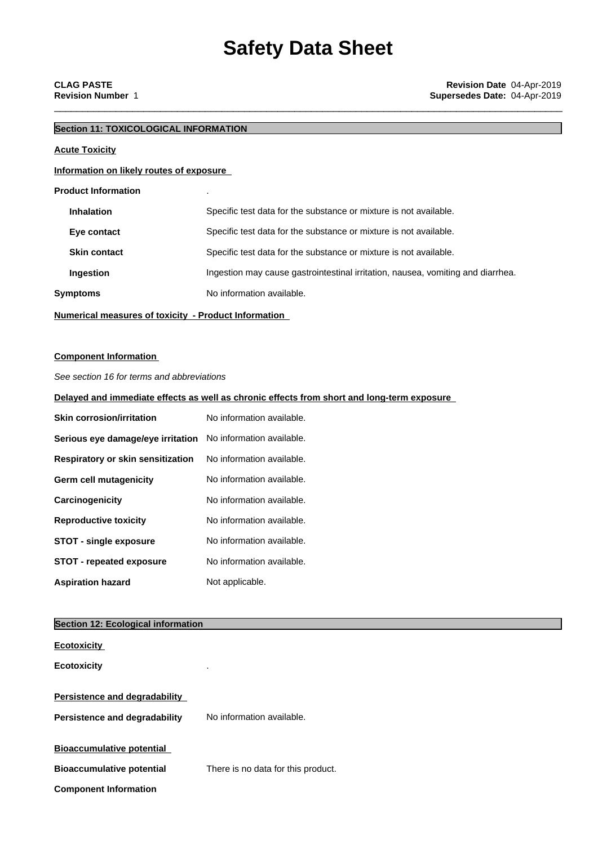### **Section 11: TOXICOLOGICAL INFORMATION**

### **Acute Toxicity**

#### **Information on likely routes of exposure**

#### **Product Information** .

| <b>Inhalation</b> |                     | Specific test data for the substance or mixture is not available.               |  |  |
|-------------------|---------------------|---------------------------------------------------------------------------------|--|--|
|                   | Eye contact         | Specific test data for the substance or mixture is not available.               |  |  |
|                   | <b>Skin contact</b> | Specific test data for the substance or mixture is not available.               |  |  |
|                   | Ingestion           | Ingestion may cause gastrointestinal irritation, nausea, vomiting and diarrhea. |  |  |
| Symptoms          |                     | No information available.                                                       |  |  |
|                   |                     |                                                                                 |  |  |

**Numerical measures of toxicity - Product Information**

#### **Component Information**

*See section 16 for terms and abbreviations*

#### **Delayed and immediate effects as well as chronic effects from short and long-term exposure**

| <b>Skin corrosion/irritation</b>                            | No information available. |  |  |
|-------------------------------------------------------------|---------------------------|--|--|
| Serious eye damage/eye irritation No information available. |                           |  |  |
| <b>Respiratory or skin sensitization</b>                    | No information available. |  |  |
| Germ cell mutagenicity                                      | No information available. |  |  |
| <b>Carcinogenicity</b>                                      | No information available. |  |  |
| <b>Reproductive toxicity</b>                                | No information available. |  |  |
| <b>STOT - single exposure</b>                               | No information available. |  |  |
| <b>STOT - repeated exposure</b>                             | No information available. |  |  |
| <b>Aspiration hazard</b>                                    | Not applicable.           |  |  |

#### **Section 12: Ecological information**

| <b>Ecotoxicity</b>                   |                                    |
|--------------------------------------|------------------------------------|
| <b>Ecotoxicity</b>                   |                                    |
| <b>Persistence and degradability</b> |                                    |
| Persistence and degradability        | No information available.          |
| <b>Bioaccumulative potential</b>     |                                    |
| <b>Bioaccumulative potential</b>     | There is no data for this product. |
| <b>Component Information</b>         |                                    |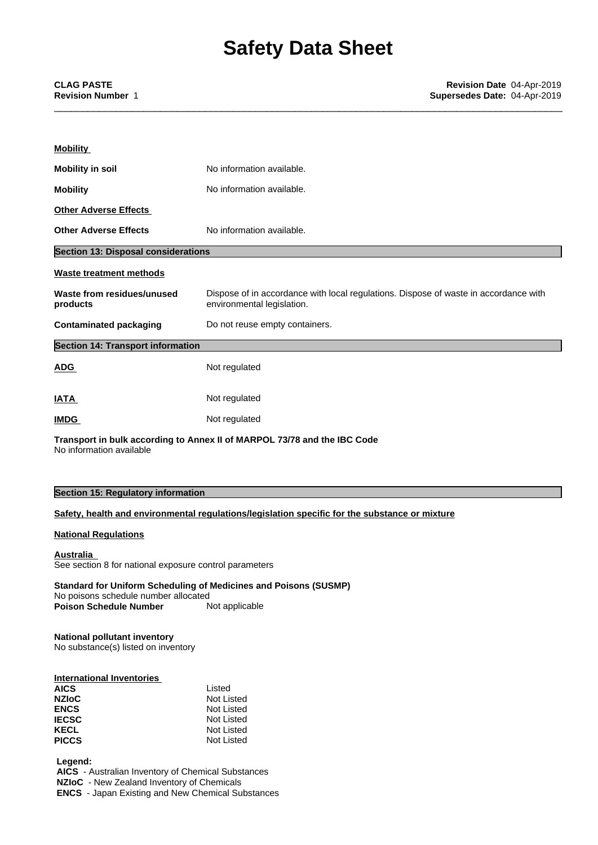| <b>Mobility</b>                                                          |                                                                                                                    |  |  |  |
|--------------------------------------------------------------------------|--------------------------------------------------------------------------------------------------------------------|--|--|--|
| <b>Mobility in soil</b>                                                  | No information available.                                                                                          |  |  |  |
| <b>Mobility</b>                                                          | No information available.                                                                                          |  |  |  |
| <b>Other Adverse Effects</b>                                             |                                                                                                                    |  |  |  |
| <b>Other Adverse Effects</b><br>No information available.                |                                                                                                                    |  |  |  |
| <b>Section 13: Disposal considerations</b>                               |                                                                                                                    |  |  |  |
| <b>Waste treatment methods</b>                                           |                                                                                                                    |  |  |  |
| Waste from residues/unused<br>products                                   | Dispose of in accordance with local regulations. Dispose of waste in accordance with<br>environmental legislation. |  |  |  |
| <b>Contaminated packaging</b><br>Do not reuse empty containers.          |                                                                                                                    |  |  |  |
| <b>Section 14: Transport information</b>                                 |                                                                                                                    |  |  |  |
| <b>ADG</b>                                                               | Not regulated                                                                                                      |  |  |  |
| <b>IATA</b>                                                              | Not regulated                                                                                                      |  |  |  |
| <b>IMDG</b>                                                              | Not regulated                                                                                                      |  |  |  |
| Transport in bulk according to Annex II of MARPOL 73/78 and the IBC Code |                                                                                                                    |  |  |  |

No information available

#### **Section 15: Regulatory information**

#### **Safety, health and environmental regulations/legislation specific for the substance or mixture**

#### **National Regulations**

**Australia** See section 8 for national exposure control parameters

**Standard for Uniform Scheduling of Medicines and Poisons (SUSMP)** No poisons schedule number allocated<br> **Poison Schedule Number** Not applicable **Poison Schedule Number** 

### **National pollutant inventory**

No substance(s) listed on inventory

| Listed     |  |
|------------|--|
| Not Listed |  |
| Not Listed |  |
| Not Listed |  |
| Not Listed |  |
| Not Listed |  |
|            |  |

 **Legend:**

 **AICS** - Australian Inventory of Chemical Substances  **NZIoC** - New Zealand Inventory of Chemicals

 **ENCS** - Japan Existing and New Chemical Substances